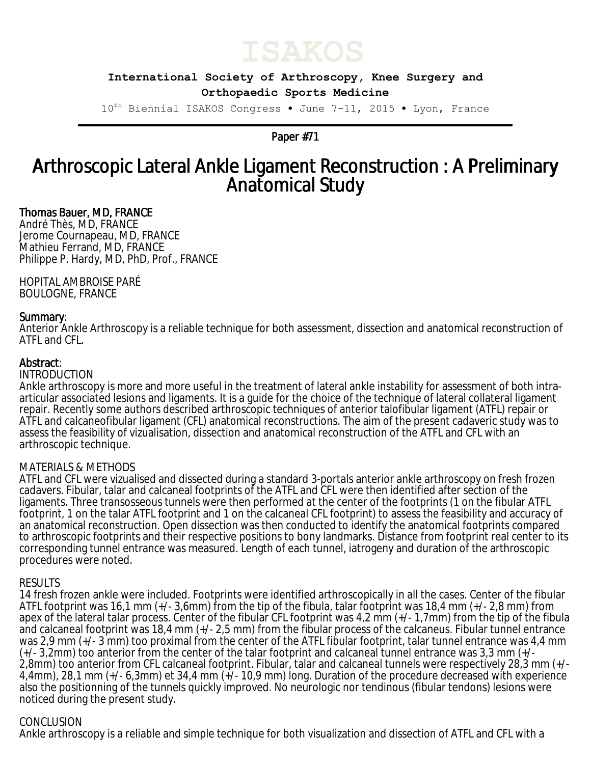

**International Society of Arthroscopy, Knee Surgery and Orthopaedic Sports Medicine**

10<sup>th</sup> Biennial ISAKOS Congress • June 7-11, 2015 • Lyon, France

Paper #71

# Arthroscopic Lateral Ankle Ligament Reconstruction : A Preliminary Anatomical Study

# Thomas Bauer, MD, FRANCE

André Thès, MD, FRANCE Jerome Cournapeau, MD, FRANCE Mathieu Ferrand, MD, FRANCE Philippe P. Hardy, MD, PhD, Prof., FRANCE

HOPITAL AMBROISE PARÉ BOULOGNE, FRANCE

# Summary:

Anterior Ankle Arthroscopy is a reliable technique for both assessment, dissection and anatomical reconstruction of ATFL and CFL.

# Abstract:

#### INTRODUCTION

Ankle arthroscopy is more and more useful in the treatment of lateral ankle instability for assessment of both intraarticular associated lesions and ligaments. It is a guide for the choice of the technique of lateral collateral ligament repair. Recently some authors described arthroscopic techniques of anterior talofibular ligament (ATFL) repair or ATFL and calcaneofibular ligament (CFL) anatomical reconstructions. The aim of the present cadaveric study was to assess the feasibility of vizualisation, dissection and anatomical reconstruction of the ATFL and CFL with an arthroscopic technique.

## MATERIALS & METHODS

ATFL and CFL were vizualised and dissected during a standard 3-portals anterior ankle arthroscopy on fresh frozen cadavers. Fibular, talar and calcaneal footprints of the ATFL and CFL were then identified after section of the ligaments. Three transosseous tunnels were then performed at the center of the footprints (1 on the fibular ATFL footprint, 1 on the talar ATFL footprint and 1 on the calcaneal CFL footprint) to assess the feasibility and accuracy of an anatomical reconstruction. Open dissection was then conducted to identify the anatomical footprints compared to arthroscopic footprints and their respective positions to bony landmarks. Distance from footprint real center to its corresponding tunnel entrance was measured. Length of each tunnel, iatrogeny and duration of the arthroscopic procedures were noted.

## RESULTS

14 fresh frozen ankle were included. Footprints were identified arthroscopically in all the cases. Center of the fibular ATFL footprint was 16,1 mm (+/- 3,6mm) from the tip of the fibula, talar footprint was 18,4 mm (+/- 2,8 mm) from apex of the lateral talar process. Center of the fibular CFL footprint was 4,2 mm (+/- 1,7mm) from the tip of the fibula and calcaneal footprint was 18,4 mm (+/- 2,5 mm) from the fibular process of the calcaneus. Fibular tunnel entrance was 2,9 mm (+/- 3 mm) too proximal from the center of the ATFL fibular footprint, talar tunnel entrance was 4,4 mm (+/- 3,2mm) too anterior from the center of the talar footprint and calcaneal tunnel entrance was 3,3 mm (+/- 2,8mm) too anterior from CFL calcaneal footprint. Fibular, talar and calcaneal tunnels were respectively 28,3 mm (+/- 4,4mm), 28,1 mm (+/- 6,3mm) et 34,4 mm (+/- 10,9 mm) long. Duration of the procedure decreased with experience also the positionning of the tunnels quickly improved. No neurologic nor tendinous (fibular tendons) lesions were noticed during the present study.

## **CONCLUSION**

Ankle arthroscopy is a reliable and simple technique for both visualization and dissection of ATFL and CFL with a